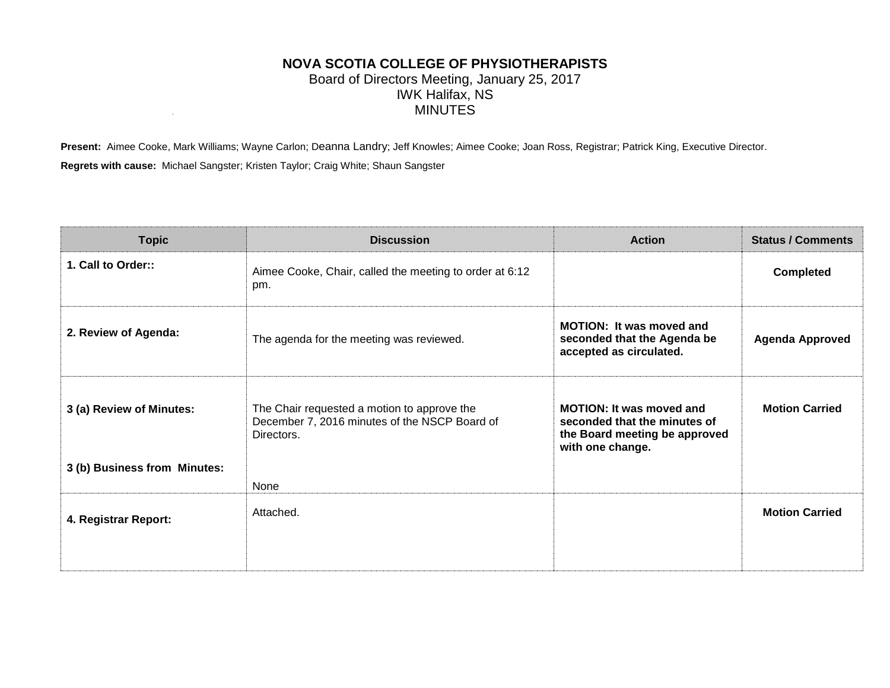## **NOVA SCOTIA COLLEGE OF PHYSIOTHERAPISTS** Board of Directors Meeting, January 25, 2017 IWK Halifax, NS MINUTES

Present: Aimee Cooke, Mark Williams; Wayne Carlon; Deanna Landry; Jeff Knowles; Aimee Cooke; Joan Ross, Registrar; Patrick King, Executive Director. **Regrets with cause:** Michael Sangster; Kristen Taylor; Craig White; Shaun Sangster

| <b>Topic</b>                 | <b>Discussion</b>                                                                                          | <b>Action</b>                                                                                                        | <b>Status / Comments</b> |
|------------------------------|------------------------------------------------------------------------------------------------------------|----------------------------------------------------------------------------------------------------------------------|--------------------------|
| 1. Call to Order::           | Aimee Cooke, Chair, called the meeting to order at 6:12<br>pm.                                             |                                                                                                                      | <b>Completed</b>         |
| 2. Review of Agenda:         | The agenda for the meeting was reviewed.                                                                   | <b>MOTION: It was moved and</b><br>seconded that the Agenda be<br>accepted as circulated.                            | <b>Agenda Approved</b>   |
| 3 (a) Review of Minutes:     | The Chair requested a motion to approve the<br>December 7, 2016 minutes of the NSCP Board of<br>Directors. | <b>MOTION: It was moved and</b><br>seconded that the minutes of<br>the Board meeting be approved<br>with one change. | <b>Motion Carried</b>    |
| 3 (b) Business from Minutes: |                                                                                                            |                                                                                                                      |                          |
|                              | None                                                                                                       |                                                                                                                      |                          |
| 4. Registrar Report:         | Attached.                                                                                                  |                                                                                                                      | <b>Motion Carried</b>    |
|                              |                                                                                                            |                                                                                                                      |                          |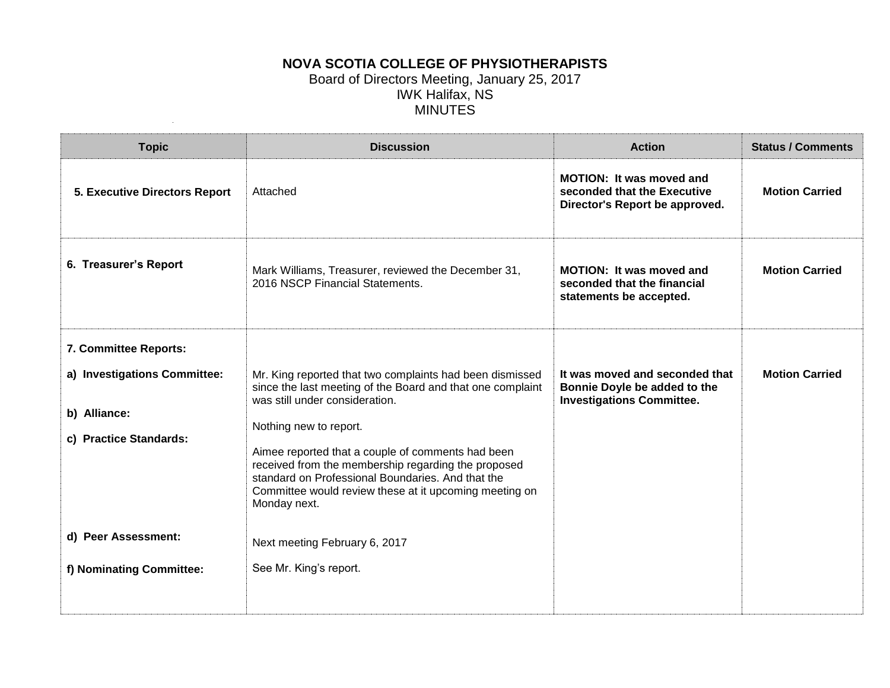## **NOVA SCOTIA COLLEGE OF PHYSIOTHERAPISTS** Board of Directors Meeting, January 25, 2017 IWK Halifax, NS MINUTES

| <b>Topic</b>                                                                                  | <b>Discussion</b>                                                                                                                                                                                                                                                                                                                                                                                                                                              | <b>Action</b>                                                                                      | <b>Status / Comments</b> |
|-----------------------------------------------------------------------------------------------|----------------------------------------------------------------------------------------------------------------------------------------------------------------------------------------------------------------------------------------------------------------------------------------------------------------------------------------------------------------------------------------------------------------------------------------------------------------|----------------------------------------------------------------------------------------------------|--------------------------|
| <b>5. Executive Directors Report</b>                                                          | Attached                                                                                                                                                                                                                                                                                                                                                                                                                                                       | <b>MOTION: It was moved and</b><br>seconded that the Executive<br>Director's Report be approved.   | <b>Motion Carried</b>    |
| 6. Treasurer's Report                                                                         | Mark Williams, Treasurer, reviewed the December 31,<br>2016 NSCP Financial Statements.                                                                                                                                                                                                                                                                                                                                                                         | <b>MOTION: It was moved and</b><br>seconded that the financial<br>statements be accepted.          | <b>Motion Carried</b>    |
| 7. Committee Reports:                                                                         |                                                                                                                                                                                                                                                                                                                                                                                                                                                                |                                                                                                    |                          |
| a) Investigations Committee:<br>b) Alliance:<br>c) Practice Standards:<br>d) Peer Assessment: | Mr. King reported that two complaints had been dismissed<br>since the last meeting of the Board and that one complaint<br>was still under consideration.<br>Nothing new to report.<br>Aimee reported that a couple of comments had been<br>received from the membership regarding the proposed<br>standard on Professional Boundaries. And that the<br>Committee would review these at it upcoming meeting on<br>Monday next.<br>Next meeting February 6, 2017 | It was moved and seconded that<br>Bonnie Doyle be added to the<br><b>Investigations Committee.</b> | <b>Motion Carried</b>    |
| f) Nominating Committee:                                                                      | See Mr. King's report.                                                                                                                                                                                                                                                                                                                                                                                                                                         |                                                                                                    |                          |
|                                                                                               |                                                                                                                                                                                                                                                                                                                                                                                                                                                                |                                                                                                    |                          |